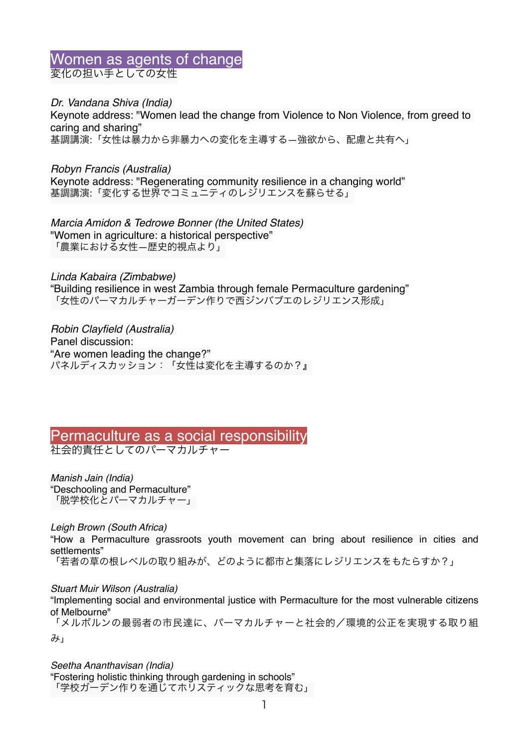### Women as agents of change 変化の担い手としての女性

*Dr. Vandana Shiva (India)*  Keynote address: "Women lead the change from Violence to Non Violence, from greed to caring and sharing" 基調講演:「女性は暴力から非暴力への変化を主導する—強欲から、配慮と共有へ」

*Robyn Francis (Australia)* Keynote address: "Regenerating community resilience in a changing world" 基調講演:「変化する世界でコミュニティのレジリエンスを蘇らせる」

*Marcia Amidon & Tedrowe Bonner (the United States)* "Women in agriculture: a historical perspective" 「農業における女性—歴史的視点より」

*Linda Kabaira (Zimbabwe)* "Building resilience in west Zambia through female Permaculture gardening" 「女性のパーマカルチャーガーデン作りで西ジンバブエのレジリエンス形成」

*Robin Clayfield (Australia)* Panel discussion: "Are women leading the change?" パネルディスカッション:「女性は変化を主導するのか?』

#### Permaculture as a social responsibility 社会的責任としてのパーマカルチャー

*Manish Jain (India)*  "Deschooling and Permaculture" 「脱学校化とパーマカルチャー」

*Leigh Brown (South Africa)*

"How a Permaculture grassroots youth movement can bring about resilience in cities and settlements"

「若者の草の根レベルの取り組みが、どのように都市と集落にレジリエンスをもたらすか?」

#### *Stuart Muir Wilson (Australia)*

"Implementing social and environmental justice with Permaculture for the most vulnerable citizens of Melbourne"

「メルボルンの最弱者の市民達に、パーマカルチャーと社会的/環境的公正を実現する取り組 み」

*Seetha Ananthavisan (India)* "Fostering holistic thinking through gardening in schools" 「学校ガーデン作りを通じてホリスティックな思考を育む」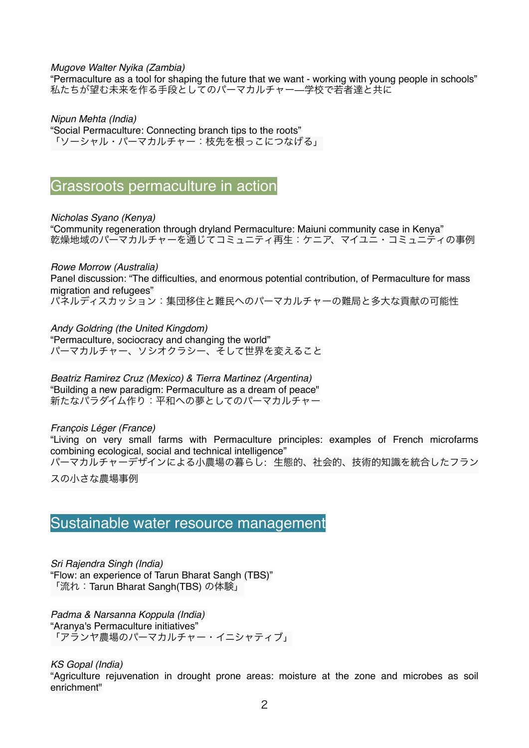*Mugove Walter Nyika (Zambia)*

"Permaculture as a tool for shaping the future that we want - working with young people in schools" 私たちが望む未来を作る手段としてのパーマカルチャー—学校で若者達と共に

*Nipun Mehta (India)*  "Social Permaculture: Connecting branch tips to the roots" 「ソーシャル・パーマカルチャー:枝先を根っこにつなげる」

Grassroots permaculture in action

*Nicholas Syano (Kenya)*  "Community regeneration through dryland Permaculture: Maiuni community case in Kenya" 乾燥地域のパーマカルチャーを通じてコミュニティ再生:ケニア、マイユニ・コミュニティの事例

*Rowe Morrow (Australia)* Panel discussion: "The difficulties, and enormous potential contribution, of Permaculture for mass migration and refugees" パネルディスカッション:集団移住と難民へのパーマカルチャーの難局と多大な貢献の可能性

*Andy Goldring (the United Kingdom)* "Permaculture, sociocracy and changing the world" パーマカルチャー、ソシオクラシー、そして世界を変えること

*Beatriz Ramirez Cruz (Mexico) & Tierra Martinez (Argentina)* "Building a new paradigm: Permaculture as a dream of peace" 新たなパラダイム作り:平和への夢としてのパーマカルチャー

*François Léger (France)*  "Living on very small farms with Permaculture principles: examples of French microfarms combining ecological, social and technical intelligence" パーマカルチャーデザインによる小農場の暮らし: 生態的、社会的、技術的知識を統合したフラン

スの小さな農場事例

## Sustainable water resource management

*Sri Rajendra Singh (India)*  "Flow: an experience of Tarun Bharat Sangh (TBS)" 「流れ:Tarun Bharat Sangh(TBS) の体験」

*Padma & Narsanna Koppula (India)*  "Aranya's Permaculture initiatives" 「アランヤ農場のパーマカルチャー・イニシャティブ」

*KS Gopal (India)*

"Agriculture rejuvenation in drought prone areas: moisture at the zone and microbes as soil enrichment"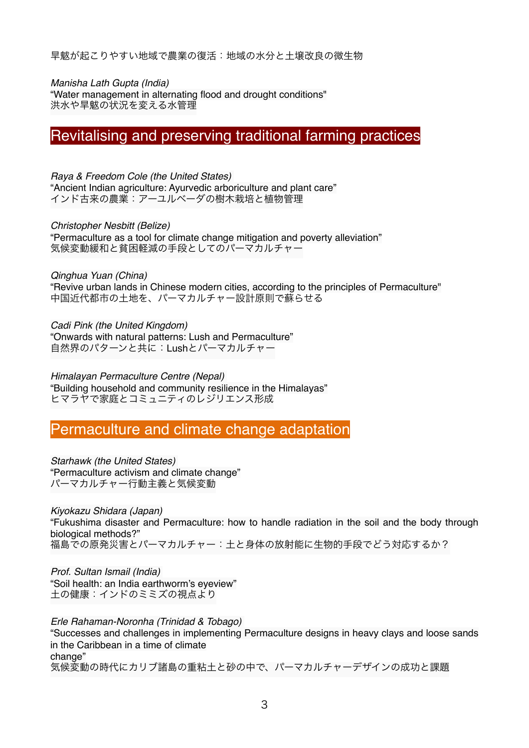旱魃が起こりやすい地域で農業の復活:地域の水分と土壌改良の微生物

*Manisha Lath Gupta (India)* "Water management in alternating flood and drought conditions" 洪水や旱魃の状況を変える水管理

# Revitalising and preserving traditional farming practices

*Raya & Freedom Cole (the United States)*  "Ancient Indian agriculture: Ayurvedic arboriculture and plant care" インド古来の農業:アーユルベーダの樹木栽培と植物管理

*Christopher Nesbitt (Belize)* "Permaculture as a tool for climate change mitigation and poverty alleviation" 気候変動緩和と貧困軽減の手段としてのパーマカルチャー

*Qinghua Yuan (China)*  "Revive urban lands in Chinese modern cities, according to the principles of Permaculture" 中国近代都市の土地を、パーマカルチャー設計原則で蘇らせる

*Cadi Pink (the United Kingdom)* "Onwards with natural patterns: Lush and Permaculture" 自然界のパターンと共に: Lushとパーマカルチャー

*Himalayan Permaculture Centre (Nepal)*  "Building household and community resilience in the Himalayas" ヒマラヤで家庭とコミュニティのレジリエンス形成

# Permaculture and climate change adaptation

*Starhawk (the United States)*  "Permaculture activism and climate change" パーマカルチャー行動主義と気候変動

*Kiyokazu Shidara (Japan)* "Fukushima disaster and Permaculture: how to handle radiation in the soil and the body through biological methods?" 福島での原発災害とパーマカルチャー:土と身体の放射能に生物的手段でどう対応するか?

*Prof. Sultan Ismail (India)*  "Soil health: an India earthworm's eyeview" 土の健康:インドのミミズの視点より

*Erle Rahaman-Noronha (Trinidad & Tobago)*  "Successes and challenges in implementing Permaculture designs in heavy clays and loose sands in the Caribbean in a time of climate change" 気候変動の時代にカリブ諸島の重粘土と砂の中で、パーマカルチャーデザインの成功と課題